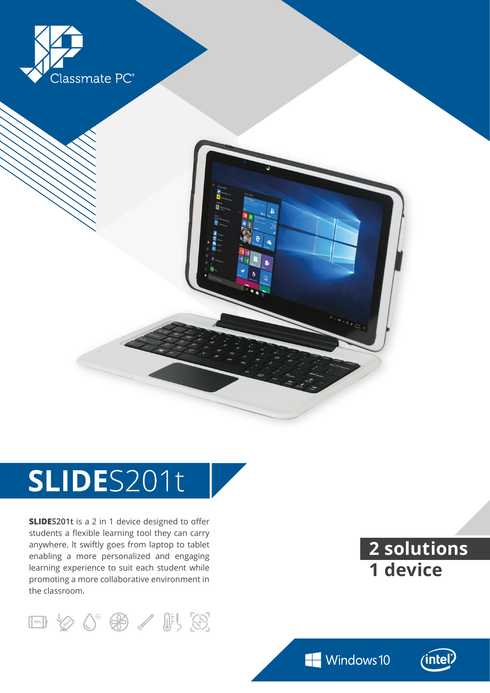



# SLIDES201t

**SLIDES201t** is a 2 in 1 device designed to offer students a flexible learning tool they can carry anywhere. lt swiftly goes from laptop to tablet enabling a more personalized and engaging learning experience to suit each student while promoting a more collaborative environment in the classroom.



**2 solutions 1 device**

Windows 10